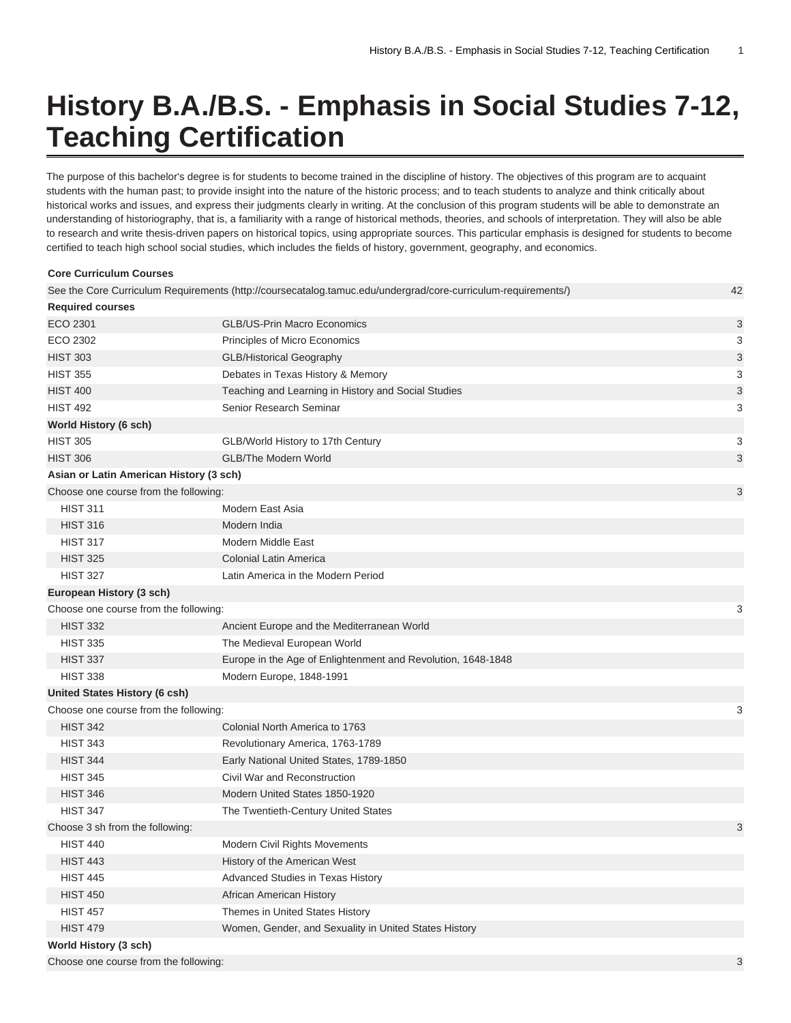## **History B.A./B.S. - Emphasis in Social Studies 7-12, Teaching Certification**

The purpose of this bachelor's degree is for students to become trained in the discipline of history. The objectives of this program are to acquaint students with the human past; to provide insight into the nature of the historic process; and to teach students to analyze and think critically about historical works and issues, and express their judgments clearly in writing. At the conclusion of this program students will be able to demonstrate an understanding of historiography, that is, a familiarity with a range of historical methods, theories, and schools of interpretation. They will also be able to research and write thesis-driven papers on historical topics, using appropriate sources. This particular emphasis is designed for students to become certified to teach high school social studies, which includes the fields of history, government, geography, and economics.

| <b>Core Curriculum Courses</b>          |                                                                                                               |    |
|-----------------------------------------|---------------------------------------------------------------------------------------------------------------|----|
|                                         | See the Core Curriculum Requirements (http://coursecatalog.tamuc.edu/undergrad/core-curriculum-requirements/) | 42 |
| <b>Required courses</b>                 |                                                                                                               |    |
| ECO 2301                                | <b>GLB/US-Prin Macro Economics</b>                                                                            | 3  |
| ECO 2302                                | Principles of Micro Economics                                                                                 | 3  |
| <b>HIST 303</b>                         | <b>GLB/Historical Geography</b>                                                                               | 3  |
| <b>HIST 355</b>                         | Debates in Texas History & Memory                                                                             | 3  |
| <b>HIST 400</b>                         | Teaching and Learning in History and Social Studies                                                           | 3  |
| <b>HIST 492</b>                         | Senior Research Seminar                                                                                       | 3  |
| World History (6 sch)                   |                                                                                                               |    |
| <b>HIST 305</b>                         | GLB/World History to 17th Century                                                                             | 3  |
| <b>HIST 306</b>                         | <b>GLB/The Modern World</b>                                                                                   | 3  |
| Asian or Latin American History (3 sch) |                                                                                                               |    |
| Choose one course from the following:   |                                                                                                               | 3  |
| <b>HIST 311</b>                         | Modern East Asia                                                                                              |    |
| <b>HIST 316</b>                         | Modern India                                                                                                  |    |
| <b>HIST 317</b>                         | Modern Middle East                                                                                            |    |
| <b>HIST 325</b>                         | <b>Colonial Latin America</b>                                                                                 |    |
| <b>HIST 327</b>                         | Latin America in the Modern Period                                                                            |    |
| European History (3 sch)                |                                                                                                               |    |
| Choose one course from the following:   |                                                                                                               | 3  |
| <b>HIST 332</b>                         | Ancient Europe and the Mediterranean World                                                                    |    |
| <b>HIST 335</b>                         | The Medieval European World                                                                                   |    |
| <b>HIST 337</b>                         | Europe in the Age of Enlightenment and Revolution, 1648-1848                                                  |    |
| <b>HIST 338</b>                         | Modern Europe, 1848-1991                                                                                      |    |
| <b>United States History (6 csh)</b>    |                                                                                                               |    |
| Choose one course from the following:   |                                                                                                               | 3  |
| <b>HIST 342</b>                         | Colonial North America to 1763                                                                                |    |
| <b>HIST 343</b>                         | Revolutionary America, 1763-1789                                                                              |    |
| <b>HIST 344</b>                         | Early National United States, 1789-1850                                                                       |    |
| <b>HIST 345</b>                         | Civil War and Reconstruction                                                                                  |    |
| <b>HIST 346</b>                         | Modern United States 1850-1920                                                                                |    |
| <b>HIST 347</b>                         | The Twentieth-Century United States                                                                           |    |
| Choose 3 sh from the following:         |                                                                                                               | 3  |
| <b>HIST 440</b>                         | <b>Modern Civil Rights Movements</b>                                                                          |    |
| <b>HIST 443</b>                         | History of the American West                                                                                  |    |
| <b>HIST 445</b>                         | Advanced Studies in Texas History                                                                             |    |
| <b>HIST 450</b>                         | African American History                                                                                      |    |
| <b>HIST 457</b>                         | Themes in United States History                                                                               |    |
| <b>HIST 479</b>                         | Women, Gender, and Sexuality in United States History                                                         |    |
| World History (3 sch)                   |                                                                                                               |    |
|                                         |                                                                                                               |    |

Choose one course from the following: 3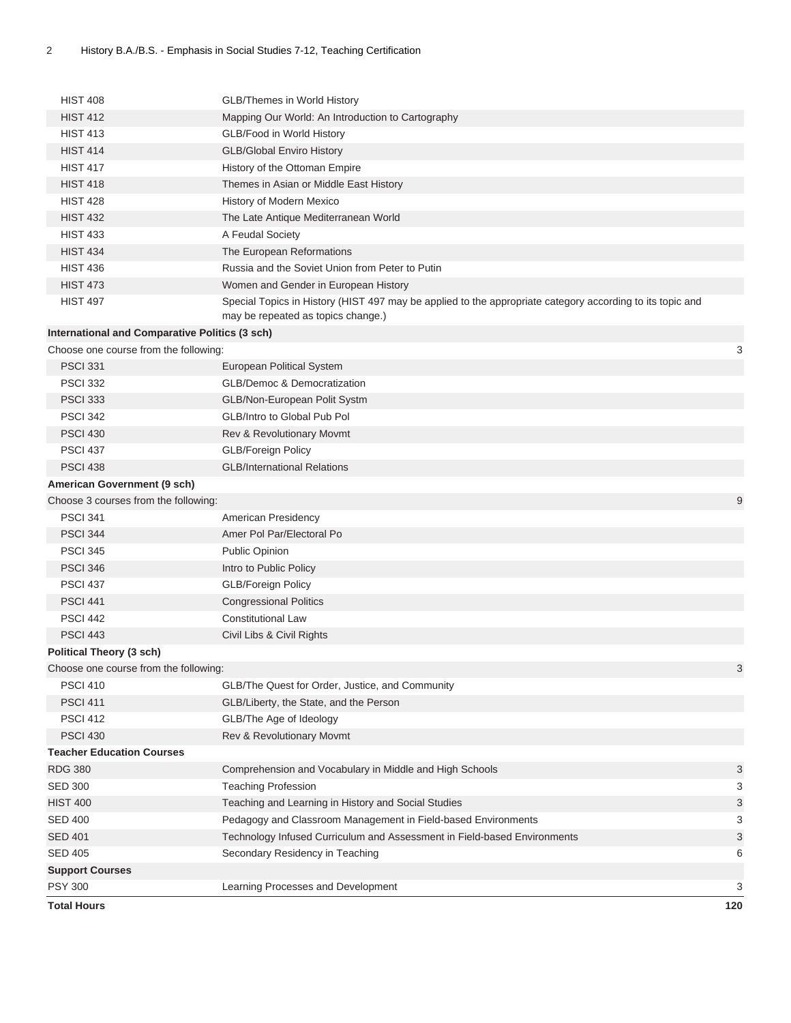| <b>HIST 408</b>                                | <b>GLB/Themes in World History</b>                                                                                                              |     |
|------------------------------------------------|-------------------------------------------------------------------------------------------------------------------------------------------------|-----|
| <b>HIST 412</b>                                | Mapping Our World: An Introduction to Cartography                                                                                               |     |
| <b>HIST 413</b>                                | GLB/Food in World History                                                                                                                       |     |
| <b>HIST 414</b>                                | <b>GLB/Global Enviro History</b>                                                                                                                |     |
| <b>HIST 417</b>                                | History of the Ottoman Empire                                                                                                                   |     |
| <b>HIST 418</b>                                | Themes in Asian or Middle East History                                                                                                          |     |
| <b>HIST 428</b>                                | History of Modern Mexico                                                                                                                        |     |
| <b>HIST 432</b>                                | The Late Antique Mediterranean World                                                                                                            |     |
| <b>HIST 433</b>                                | A Feudal Society                                                                                                                                |     |
| <b>HIST 434</b>                                | The European Reformations                                                                                                                       |     |
| <b>HIST 436</b>                                | Russia and the Soviet Union from Peter to Putin                                                                                                 |     |
| <b>HIST 473</b>                                | Women and Gender in European History                                                                                                            |     |
| <b>HIST 497</b>                                | Special Topics in History (HIST 497 may be applied to the appropriate category according to its topic and<br>may be repeated as topics change.) |     |
| International and Comparative Politics (3 sch) |                                                                                                                                                 |     |
| Choose one course from the following:          |                                                                                                                                                 | 3   |
| <b>PSCI 331</b>                                | European Political System                                                                                                                       |     |
| <b>PSCI 332</b>                                | <b>GLB/Democ &amp; Democratization</b>                                                                                                          |     |
| <b>PSCI 333</b>                                | GLB/Non-European Polit Systm                                                                                                                    |     |
| <b>PSCI 342</b>                                | GLB/Intro to Global Pub Pol                                                                                                                     |     |
| <b>PSCI 430</b>                                | <b>Rev &amp; Revolutionary Movmt</b>                                                                                                            |     |
| <b>PSCI 437</b>                                | <b>GLB/Foreign Policy</b>                                                                                                                       |     |
| <b>PSCI 438</b>                                | <b>GLB/International Relations</b>                                                                                                              |     |
| American Government (9 sch)                    |                                                                                                                                                 |     |
| Choose 3 courses from the following:           |                                                                                                                                                 | 9   |
| <b>PSCI 341</b>                                | American Presidency                                                                                                                             |     |
| <b>PSCI 344</b>                                | Amer Pol Par/Electoral Po                                                                                                                       |     |
| <b>PSCI 345</b>                                | <b>Public Opinion</b>                                                                                                                           |     |
| <b>PSCI 346</b>                                | Intro to Public Policy                                                                                                                          |     |
| <b>PSCI 437</b>                                | <b>GLB/Foreign Policy</b>                                                                                                                       |     |
| <b>PSCI 441</b>                                | <b>Congressional Politics</b>                                                                                                                   |     |
| <b>PSCI 442</b>                                | <b>Constitutional Law</b>                                                                                                                       |     |
| <b>PSCI 443</b>                                | Civil Libs & Civil Rights                                                                                                                       |     |
| <b>Political Theory (3 sch)</b>                |                                                                                                                                                 |     |
| Choose one course from the following:          |                                                                                                                                                 | 3   |
| <b>PSCI 410</b>                                | GLB/The Quest for Order, Justice, and Community                                                                                                 |     |
| <b>PSCI 411</b>                                | GLB/Liberty, the State, and the Person                                                                                                          |     |
| <b>PSCI 412</b>                                | GLB/The Age of Ideology                                                                                                                         |     |
| <b>PSCI 430</b>                                | Rev & Revolutionary Movmt                                                                                                                       |     |
| <b>Teacher Education Courses</b>               |                                                                                                                                                 |     |
| <b>RDG 380</b>                                 | Comprehension and Vocabulary in Middle and High Schools                                                                                         | 3   |
| <b>SED 300</b>                                 | <b>Teaching Profession</b>                                                                                                                      | 3   |
| <b>HIST 400</b>                                | Teaching and Learning in History and Social Studies                                                                                             | 3   |
| <b>SED 400</b>                                 | Pedagogy and Classroom Management in Field-based Environments                                                                                   | 3   |
| <b>SED 401</b>                                 | Technology Infused Curriculum and Assessment in Field-based Environments                                                                        | 3   |
| <b>SED 405</b>                                 | Secondary Residency in Teaching                                                                                                                 | 6   |
| <b>Support Courses</b>                         |                                                                                                                                                 |     |
| <b>PSY 300</b>                                 | Learning Processes and Development                                                                                                              | 3   |
| <b>Total Hours</b>                             |                                                                                                                                                 | 120 |
|                                                |                                                                                                                                                 |     |